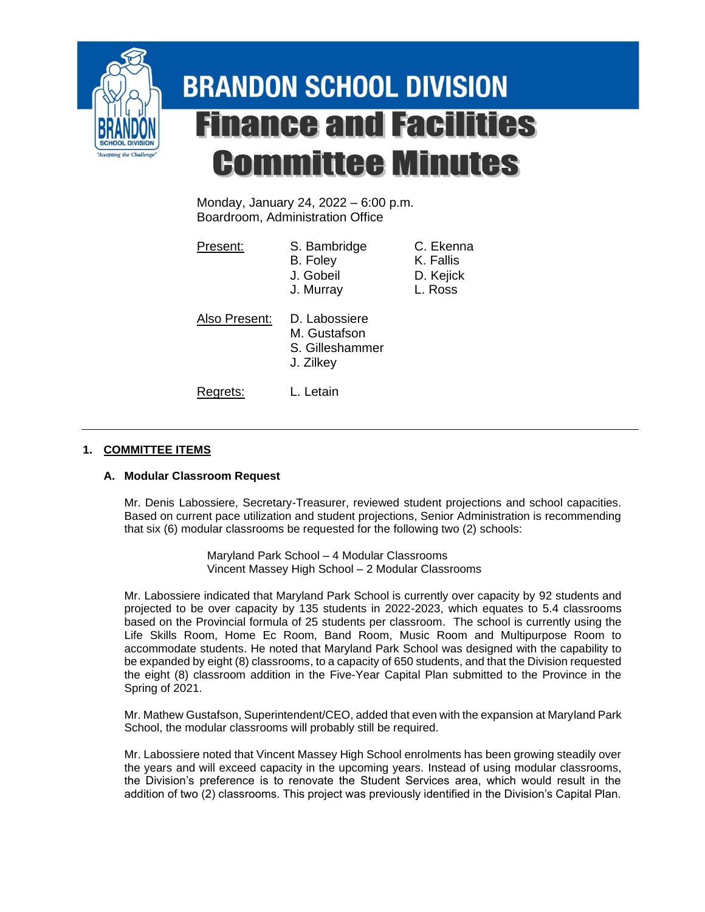

# **BRANDON SCHOOL DIVISION Finance and Facilities Committee Minutes**

Monday, January 24, 2022 – 6:00 p.m. Boardroom, Administration Office

| Present:      | S. Bambridge<br>B. Foley<br>J. Gobeil<br>J. Murray            | C. Ekenna<br>K. Fallis<br>D. Kejick<br>L. Ross |
|---------------|---------------------------------------------------------------|------------------------------------------------|
| Also Present: | D. Labossiere<br>M. Gustafson<br>S. Gilleshammer<br>J. Zilkey |                                                |
| Rearets:      | L. Letain                                                     |                                                |

## **1. COMMITTEE ITEMS**

## **A. Modular Classroom Request**

Mr. Denis Labossiere, Secretary-Treasurer, reviewed student projections and school capacities. Based on current pace utilization and student projections, Senior Administration is recommending that six (6) modular classrooms be requested for the following two (2) schools:

> Maryland Park School – 4 Modular Classrooms Vincent Massey High School – 2 Modular Classrooms

Mr. Labossiere indicated that Maryland Park School is currently over capacity by 92 students and projected to be over capacity by 135 students in 2022-2023, which equates to 5.4 classrooms based on the Provincial formula of 25 students per classroom. The school is currently using the Life Skills Room, Home Ec Room, Band Room, Music Room and Multipurpose Room to accommodate students. He noted that Maryland Park School was designed with the capability to be expanded by eight (8) classrooms, to a capacity of 650 students, and that the Division requested the eight (8) classroom addition in the Five-Year Capital Plan submitted to the Province in the Spring of 2021.

Mr. Mathew Gustafson, Superintendent/CEO, added that even with the expansion at Maryland Park School, the modular classrooms will probably still be required.

Mr. Labossiere noted that Vincent Massey High School enrolments has been growing steadily over the years and will exceed capacity in the upcoming years. Instead of using modular classrooms, the Division's preference is to renovate the Student Services area, which would result in the addition of two (2) classrooms. This project was previously identified in the Division's Capital Plan.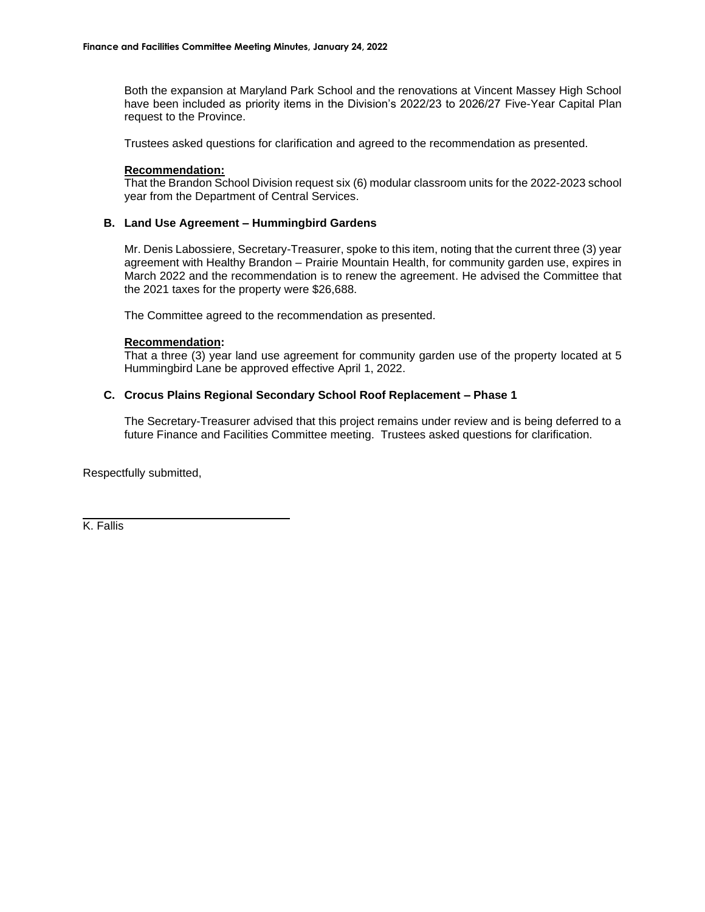Both the expansion at Maryland Park School and the renovations at Vincent Massey High School have been included as priority items in the Division's 2022/23 to 2026/27 Five-Year Capital Plan request to the Province.

Trustees asked questions for clarification and agreed to the recommendation as presented.

#### **Recommendation:**

That the Brandon School Division request six (6) modular classroom units for the 2022-2023 school year from the Department of Central Services.

### **B. Land Use Agreement – Hummingbird Gardens**

Mr. Denis Labossiere, Secretary-Treasurer, spoke to this item, noting that the current three (3) year agreement with Healthy Brandon – Prairie Mountain Health, for community garden use, expires in March 2022 and the recommendation is to renew the agreement. He advised the Committee that the 2021 taxes for the property were \$26,688.

The Committee agreed to the recommendation as presented.

#### **Recommendation:**

That a three (3) year land use agreement for community garden use of the property located at 5 Hummingbird Lane be approved effective April 1, 2022.

### **C. Crocus Plains Regional Secondary School Roof Replacement – Phase 1**

The Secretary-Treasurer advised that this project remains under review and is being deferred to a future Finance and Facilities Committee meeting. Trustees asked questions for clarification.

Respectfully submitted,

K. Fallis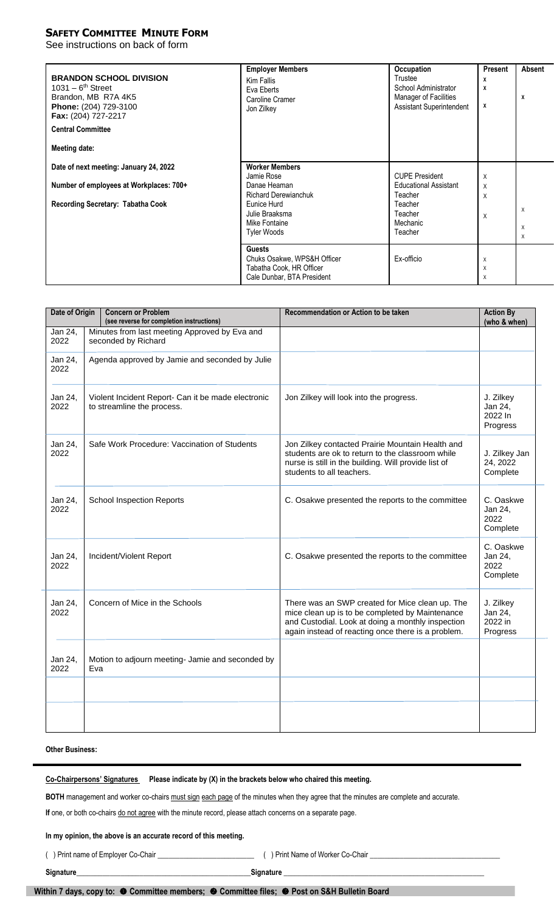## **SAFETY COMMITTEE MINUTE FORM**

See instructions on back of form

| <b>BRANDON SCHOOL DIVISION</b><br>$1031 - 6th$ Street<br>Brandon, MB R7A 4K5<br>Phone: (204) 729-3100<br>Fax: (204) 727-2217<br><b>Central Committee</b><br>Meeting date: | <b>Employer Members</b><br>Kim Fallis<br>Eva Eberts<br>Caroline Cramer<br>Jon Zilkey                                                                       | Occupation<br>Trustee<br>School Administrator<br><b>Manager of Facilities</b><br><b>Assistant Superintendent</b> | Present<br>х<br>x<br>X | Absent<br>х        |
|---------------------------------------------------------------------------------------------------------------------------------------------------------------------------|------------------------------------------------------------------------------------------------------------------------------------------------------------|------------------------------------------------------------------------------------------------------------------|------------------------|--------------------|
| Date of next meeting: January 24, 2022<br>Number of employees at Workplaces: 700+<br>Recording Secretary: Tabatha Cook                                                    | <b>Worker Members</b><br>Jamie Rose<br>Danae Heaman<br><b>Richard Derewianchuk</b><br>Eunice Hurd<br>Julie Braaksma<br>Mike Fontaine<br><b>Tyler Woods</b> | <b>CUPE President</b><br><b>Educational Assistant</b><br>Teacher<br>Teacher<br>Teacher<br>Mechanic<br>Teacher    | X<br>X<br>X<br>X       | X<br>X<br>$\times$ |
|                                                                                                                                                                           | <b>Guests</b><br>Chuks Osakwe, WPS&H Officer<br>Tabatha Cook, HR Officer<br>Cale Dunbar, BTA President                                                     | Ex-officio                                                                                                       | X<br>X<br>X            |                    |

| Date of Origin  |                                                                                  | <b>Concern or Problem</b><br>(see reverse for completion instructions) | Recommendation or Action to be taken                                                                                                                                                                          | <b>Action By</b><br>(who & when)            |
|-----------------|----------------------------------------------------------------------------------|------------------------------------------------------------------------|---------------------------------------------------------------------------------------------------------------------------------------------------------------------------------------------------------------|---------------------------------------------|
| Jan 24,<br>2022 |                                                                                  | Minutes from last meeting Approved by Eva and<br>seconded by Richard   |                                                                                                                                                                                                               |                                             |
| Jan 24,<br>2022 | Agenda approved by Jamie and seconded by Julie                                   |                                                                        |                                                                                                                                                                                                               |                                             |
| Jan 24,<br>2022 | Violent Incident Report- Can it be made electronic<br>to streamline the process. |                                                                        | Jon Zilkey will look into the progress.                                                                                                                                                                       | J. Zilkey<br>Jan 24,<br>2022 In<br>Progress |
| Jan 24,<br>2022 |                                                                                  | Safe Work Procedure: Vaccination of Students                           | Jon Zilkey contacted Prairie Mountain Health and<br>students are ok to return to the classroom while<br>nurse is still in the building. Will provide list of<br>students to all teachers.                     | J. Zilkey Jan<br>24, 2022<br>Complete       |
| Jan 24,<br>2022 |                                                                                  | <b>School Inspection Reports</b>                                       | C. Osakwe presented the reports to the committee                                                                                                                                                              | C. Oaskwe<br>Jan 24,<br>2022<br>Complete    |
| Jan 24,<br>2022 |                                                                                  | Incident/Violent Report                                                | C. Osakwe presented the reports to the committee                                                                                                                                                              | C. Oaskwe<br>Jan 24,<br>2022<br>Complete    |
| Jan 24,<br>2022 |                                                                                  | Concern of Mice in the Schools                                         | There was an SWP created for Mice clean up. The<br>mice clean up is to be completed by Maintenance<br>and Custodial. Look at doing a monthly inspection<br>again instead of reacting once there is a problem. | J. Zilkey<br>Jan 24,<br>2022 in<br>Progress |
| Jan 24,<br>2022 | Eva                                                                              | Motion to adjourn meeting- Jamie and seconded by                       |                                                                                                                                                                                                               |                                             |
|                 |                                                                                  |                                                                        |                                                                                                                                                                                                               |                                             |
|                 |                                                                                  |                                                                        |                                                                                                                                                                                                               |                                             |

## **Other Business:**

**Co-Chairpersons' Signatures Please indicate by (X) in the brackets below who chaired this meeting.**

**BOTH** management and worker co-chairs must sign each page of the minutes when they agree that the minutes are complete and accurate.

**If** one, or both co-chairs do not agree with the minute record, please attach concerns on a separate page.

### **In my opinion, the above is an accurate record of this meeting.**

( ) Print name of Employer Co-Chair \_\_\_\_\_\_\_\_\_\_\_\_\_\_\_\_\_\_\_\_\_\_\_\_\_\_ ( ) Print Name of Worker Co-Chair \_\_\_\_\_\_\_\_\_\_\_\_\_\_\_\_\_\_\_\_\_\_\_\_\_\_\_\_\_\_\_\_\_\_\_

**Signature**\_\_\_\_\_\_\_\_\_\_\_\_\_\_\_\_\_\_\_\_\_\_\_\_\_\_\_\_\_\_\_\_\_\_\_\_\_\_\_\_\_\_\_\_\_\_\_**Signature** \_\_\_\_\_\_\_\_\_\_\_\_\_\_\_\_\_\_\_\_\_\_\_\_\_\_\_\_\_\_\_\_\_\_\_\_\_\_\_\_\_\_\_\_\_\_\_\_\_\_\_\_\_\_